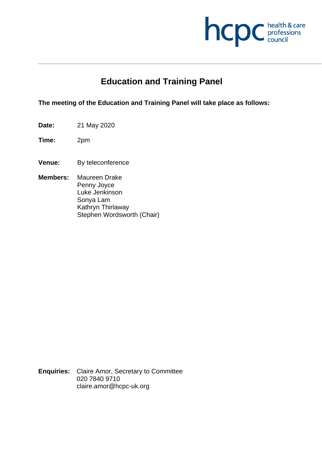

# **Education and Training Panel**

**The meeting of the Education and Training Panel will take place as follows:**

- **Date:** 21 May 2020
- **Time:** 2pm
- **Venue:** By teleconference
- **Members:** Maureen Drake Penny Joyce Luke Jenkinson Sonya Lam Kathryn Thirlaway Stephen Wordsworth (Chair)

**Enquiries:** Claire Amor, Secretary to Committee 020 7840 9710 claire.amor@hcpc-uk.org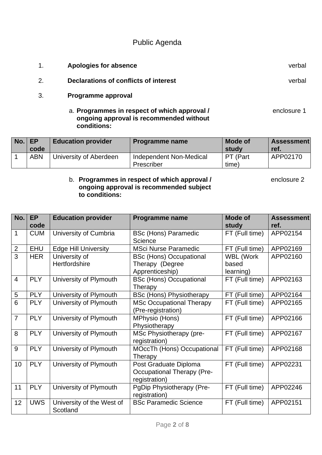# Public Agenda

- 1. **Apologies for absence** verbal
- 2. **Declarations of conflicts of interest** verbal
- 3. **Programme approval** 
	- a. **Programmes in respect of which approval /** enclosure 1 **ongoing approval is recommended without conditions:**

| No. | <b>EP</b>  | <b>Education provider</b> | <b>Programme name</b>                 | Mode of           | <b>Assessment</b> |
|-----|------------|---------------------------|---------------------------------------|-------------------|-------------------|
|     | code       |                           |                                       | studv             | ref.              |
|     | <b>ABN</b> | University of Aberdeen    | Independent Non-Medical<br>Prescriber | PT (Part<br>time) | APP02170          |

# b. **Programmes in respect of which approval /** enclosure 2 **ongoing approval is recommended subject to conditions:**

| No.             | <b>EP</b>  | <b>Education provider</b>   | <b>Programme name</b>             | <b>Mode of</b>   | <b>Assessment</b> |
|-----------------|------------|-----------------------------|-----------------------------------|------------------|-------------------|
|                 | code       |                             |                                   | study            | ref.              |
| 1               | <b>CUM</b> | University of Cumbria       | <b>BSc (Hons) Paramedic</b>       | FT (Full time)   | APP02154          |
|                 |            |                             | Science                           |                  |                   |
| $\overline{2}$  | <b>EHU</b> | <b>Edge Hill University</b> | <b>MSci Nurse Paramedic</b>       | FT (Full time)   | APP02169          |
| $\overline{3}$  | <b>HER</b> | University of               | <b>BSc (Hons) Occupational</b>    | <b>WBL (Work</b> | APP02160          |
|                 |            | Hertfordshire               | Therapy (Degree                   | based            |                   |
|                 |            |                             | Apprenticeship)                   | learning)        |                   |
| $\overline{4}$  | <b>PLY</b> | University of Plymouth      | <b>BSc (Hons) Occupational</b>    | FT (Full time)   | APP02163          |
|                 |            |                             | Therapy                           |                  |                   |
| 5               | <b>PLY</b> | University of Plymouth      | <b>BSc (Hons) Physiotherapy</b>   | FT (Full time)   | APP02164          |
| 6               | <b>PLY</b> | University of Plymouth      | <b>MSc Occupational Therapy</b>   | FT (Full time)   | APP02165          |
|                 |            |                             | (Pre-registration)                |                  |                   |
| $\overline{7}$  | <b>PLY</b> | University of Plymouth      | MPhysio (Hons)                    | FT (Full time)   | APP02166          |
|                 |            |                             | Physiotherapy                     |                  |                   |
| 8               | <b>PLY</b> | University of Plymouth      | MSc Physiotherapy (pre-           | FT (Full time)   | APP02167          |
|                 |            |                             | registration)                     |                  |                   |
| 9               | <b>PLY</b> | University of Plymouth      | <b>MOccTh (Hons) Occupational</b> | FT (Full time)   | APP02168          |
|                 |            |                             | Therapy                           |                  |                   |
| 10 <sup>°</sup> | <b>PLY</b> | University of Plymouth      | Post Graduate Diploma             | FT (Full time)   | APP02231          |
|                 |            |                             | <b>Occupational Therapy (Pre-</b> |                  |                   |
|                 |            |                             | registration)                     |                  |                   |
| 11              | <b>PLY</b> | University of Plymouth      | PgDip Physiotherapy (Pre-         | FT (Full time)   | APP02246          |
|                 |            |                             | registration)                     |                  |                   |
| 12              | <b>UWS</b> | University of the West of   | <b>BSc Paramedic Science</b>      | FT (Full time)   | APP02151          |
|                 |            | Scotland                    |                                   |                  |                   |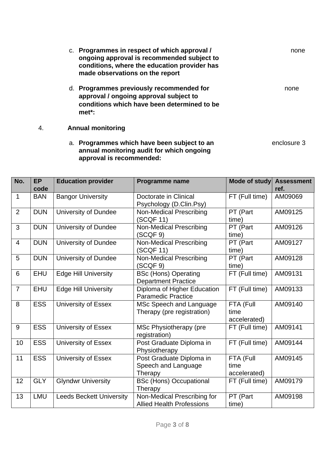|    | Programmes in respect of which approval /<br>ongoing approval is recommended subject to<br>conditions, where the education provider has<br>made observations on the report | none |
|----|----------------------------------------------------------------------------------------------------------------------------------------------------------------------------|------|
| d. | Programmes previously recommended for<br>approval / ongoing approval subject to<br>conditions which have been determined to be<br>met*:                                    | none |

# 4. **Annual monitoring**

a. **Programmes which have been subject to an** enclosure 3 **annual monitoring audit for which ongoing approval is recommended:** 

| No.            | <b>EP</b><br>code | <b>Education provider</b>       | <b>Programme name</b>            | Mode of study  | <b>Assessment</b><br>ref. |
|----------------|-------------------|---------------------------------|----------------------------------|----------------|---------------------------|
| 1              | <b>BAN</b>        | <b>Bangor University</b>        | Doctorate in Clinical            | FT (Full time) | AM09069                   |
|                |                   |                                 | Psychology (D.Clin.Psy)          |                |                           |
| $\overline{2}$ | <b>DUN</b>        | University of Dundee            | <b>Non-Medical Prescribing</b>   | PT (Part       | AM09125                   |
|                |                   |                                 | (SCQF 11)                        | time)          |                           |
| 3              | <b>DUN</b>        | <b>University of Dundee</b>     | Non-Medical Prescribing          | PT (Part       | AM09126                   |
|                |                   |                                 | (SCQF 9)                         | time)          |                           |
| $\overline{4}$ | <b>DUN</b>        | University of Dundee            | <b>Non-Medical Prescribing</b>   | PT (Part       | AM09127                   |
|                |                   |                                 | (SCQF 11)                        | time)          |                           |
| 5              | <b>DUN</b>        | University of Dundee            | <b>Non-Medical Prescribing</b>   | PT (Part       | AM09128                   |
|                |                   |                                 | (SCQF 9)                         | time)          |                           |
| 6              | <b>EHU</b>        | <b>Edge Hill University</b>     | <b>BSc (Hons) Operating</b>      | FT (Full time) | AM09131                   |
|                |                   |                                 | <b>Department Practice</b>       |                |                           |
| $\overline{7}$ | <b>EHU</b>        | <b>Edge Hill University</b>     | Diploma of Higher Education      | FT (Full time) | AM09133                   |
|                |                   |                                 | <b>Paramedic Practice</b>        |                |                           |
| 8              | <b>ESS</b>        | University of Essex             | MSc Speech and Language          | FTA (Full      | AM09140                   |
|                |                   |                                 | Therapy (pre registration)       | time           |                           |
|                |                   |                                 |                                  | accelerated)   |                           |
| 9              | <b>ESS</b>        | University of Essex             | MSc Physiotherapy (pre           | FT (Full time) | AM09141                   |
|                |                   |                                 | registration)                    |                |                           |
| 10             | <b>ESS</b>        | University of Essex             | Post Graduate Diploma in         | FT (Full time) | AM09144                   |
|                |                   |                                 | Physiotherapy                    |                |                           |
| 11             | <b>ESS</b>        | University of Essex             | Post Graduate Diploma in         | FTA (Full      | AM09145                   |
|                |                   |                                 | Speech and Language              | time           |                           |
|                |                   |                                 | Therapy                          | accelerated)   |                           |
| 12             | <b>GLY</b>        | <b>Glyndwr University</b>       | <b>BSc (Hons) Occupational</b>   | FT (Full time) | AM09179                   |
|                |                   |                                 | Therapy                          |                |                           |
| 13             | LMU               | <b>Leeds Beckett University</b> | Non-Medical Prescribing for      | PT (Part       | AM09198                   |
|                |                   |                                 | <b>Allied Health Professions</b> | time)          |                           |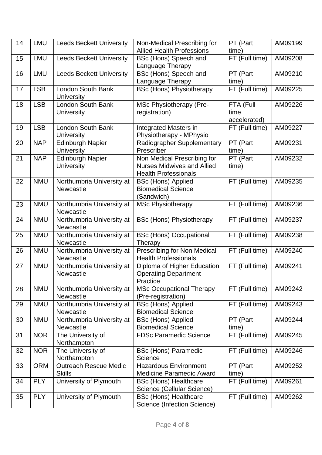| 14 | <b>LMU</b> | <b>Leeds Beckett University</b>             | Non-Medical Prescribing for                                | PT (Part       | AM09199 |
|----|------------|---------------------------------------------|------------------------------------------------------------|----------------|---------|
|    |            |                                             | <b>Allied Health Professions</b>                           | time)          |         |
| 15 | LMU        | <b>Leeds Beckett University</b>             | BSc (Hons) Speech and                                      | FT (Full time) | AM09208 |
|    |            |                                             | Language Therapy                                           |                |         |
| 16 | LMU        | <b>Leeds Beckett University</b>             | BSc (Hons) Speech and                                      | PT (Part       | AM09210 |
|    |            |                                             | Language Therapy                                           | time)          |         |
| 17 | <b>LSB</b> | London South Bank<br><b>University</b>      | <b>BSc (Hons) Physiotherapy</b>                            | FT (Full time) | AM09225 |
| 18 | <b>LSB</b> | London South Bank                           | MSc Physiotherapy (Pre-                                    | FTA (Full      | AM09226 |
|    |            | <b>University</b>                           | registration)                                              | time           |         |
|    |            |                                             |                                                            | accelerated)   |         |
| 19 | <b>LSB</b> | <b>London South Bank</b>                    | <b>Integrated Masters in</b>                               | FT (Full time) | AM09227 |
|    |            | <b>University</b>                           | Physiotherapy - MPhysio                                    |                |         |
| 20 | <b>NAP</b> | <b>Edinburgh Napier</b>                     | Radiographer Supplementary                                 | PT (Part       | AM09231 |
|    |            | <b>University</b>                           | Prescriber                                                 | time)          |         |
| 21 | <b>NAP</b> | Edinburgh Napier                            | Non Medical Prescribing for                                | PT (Part       | AM09232 |
|    |            | <b>University</b>                           | <b>Nurses Midwives and Allied</b>                          | time)          |         |
|    |            |                                             | <b>Health Professionals</b>                                |                |         |
| 22 | <b>NMU</b> | Northumbria University at                   | <b>BSc (Hons) Applied</b>                                  | FT (Full time) | AM09235 |
|    |            | <b>Newcastle</b>                            | <b>Biomedical Science</b>                                  |                |         |
|    |            |                                             | (Sandwich)                                                 |                |         |
| 23 | <b>NMU</b> | Northumbria University at                   | <b>MSc Physiotherapy</b>                                   | FT (Full time) | AM09236 |
|    |            | <b>Newcastle</b>                            |                                                            |                |         |
| 24 | <b>NMU</b> | Northumbria University at                   | <b>BSc (Hons) Physiotherapy</b>                            | FT (Full time) | AM09237 |
|    |            | <b>Newcastle</b>                            |                                                            |                |         |
| 25 | <b>NMU</b> | Northumbria University at                   | <b>BSc (Hons) Occupational</b>                             | FT (Full time) | AM09238 |
|    |            | <b>Newcastle</b>                            | Therapy                                                    |                |         |
| 26 | <b>NMU</b> | Northumbria University at                   | <b>Prescribing for Non Medical</b>                         | FT (Full time) | AM09240 |
|    |            | Newcastle                                   | <b>Health Professionals</b>                                |                |         |
| 27 | <b>NMU</b> | Northumbria University at                   | Diploma of Higher Education                                | FT (Full time) | AM09241 |
|    |            | Newcastle                                   | <b>Operating Department</b>                                |                |         |
|    |            |                                             | Practice                                                   |                |         |
| 28 | <b>NMU</b> | Northumbria University at                   | <b>MSc Occupational Therapy</b>                            | FT (Full time) | AM09242 |
|    |            | <b>Newcastle</b>                            | (Pre-registration)                                         |                |         |
| 29 | <b>NMU</b> | Northumbria University at                   | <b>BSc (Hons) Applied</b>                                  | FT (Full time) | AM09243 |
|    |            | Newcastle                                   | <b>Biomedical Science</b>                                  |                |         |
| 30 | <b>NMU</b> | Northumbria University at                   | <b>BSc (Hons) Applied</b>                                  | PT (Part       | AM09244 |
|    |            | <b>Newcastle</b>                            | <b>Biomedical Science</b>                                  | time)          |         |
| 31 | <b>NOR</b> | The University of                           | <b>FDSc Paramedic Science</b>                              | FT (Full time) | AM09245 |
|    |            | Northampton                                 |                                                            |                |         |
| 32 | <b>NOR</b> | The University of                           | <b>BSc (Hons) Paramedic</b><br>Science                     | FT (Full time) | AM09246 |
|    | <b>ORM</b> | Northampton<br><b>Outreach Rescue Medic</b> | <b>Hazardous Environment</b>                               | PT (Part       | AM09252 |
| 33 |            | <b>Skills</b>                               | <b>Medicine Paramedic Award</b>                            | time)          |         |
| 34 | <b>PLY</b> | University of Plymouth                      |                                                            | FT (Full time) | AM09261 |
|    |            |                                             | <b>BSc (Hons) Healthcare</b><br>Science (Cellular Science) |                |         |
| 35 | <b>PLY</b> | University of Plymouth                      | <b>BSc (Hons) Healthcare</b>                               | FT (Full time) | AM09262 |
|    |            |                                             | Science (Infection Science)                                |                |         |
|    |            |                                             |                                                            |                |         |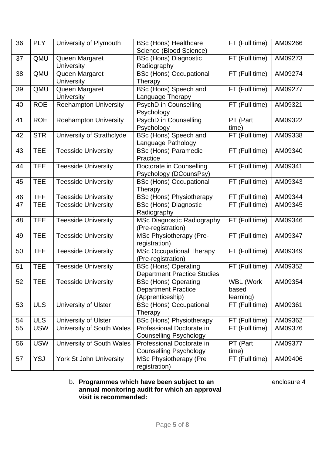| 36 | <b>PLY</b> | University of Plymouth              | <b>BSc (Hons) Healthcare</b><br>Science (Blood Science)                       | FT (Full time)                  | AM09266 |
|----|------------|-------------------------------------|-------------------------------------------------------------------------------|---------------------------------|---------|
| 37 | QMU        | Queen Margaret<br><b>University</b> | <b>BSc (Hons) Diagnostic</b><br>Radiography                                   | FT (Full time)                  | AM09273 |
| 38 | QMU        | Queen Margaret<br><b>University</b> | <b>BSc (Hons) Occupational</b><br>Therapy                                     | FT (Full time)                  | AM09274 |
| 39 | QMU        | Queen Margaret<br><b>University</b> | BSc (Hons) Speech and<br>Language Therapy                                     | FT (Full time)                  | AM09277 |
| 40 | <b>ROE</b> | <b>Roehampton University</b>        | PsychD in Counselling<br>Psychology                                           | FT (Full time)                  | AM09321 |
| 41 | <b>ROE</b> | <b>Roehampton University</b>        | PsychD in Counselling<br>Psychology                                           | PT (Part<br>time)               | AM09322 |
| 42 | <b>STR</b> | University of Strathclyde           | BSc (Hons) Speech and<br>Language Pathology                                   | FT (Full time)                  | AM09338 |
| 43 | <b>TEE</b> | <b>Teesside University</b>          | <b>BSc (Hons) Paramedic</b><br>Practice                                       | FT (Full time)                  | AM09340 |
| 44 | <b>TEE</b> | <b>Teesside University</b>          | Doctorate in Counselling<br>Psychology (DCounsPsy)                            | FT (Full time)                  | AM09341 |
| 45 | <b>TEE</b> | <b>Teesside University</b>          | <b>BSc (Hons) Occupational</b><br>Therapy                                     | FT (Full time)                  | AM09343 |
| 46 | <b>TEE</b> | <b>Teesside University</b>          | <b>BSc (Hons) Physiotherapy</b>                                               | FT (Full time)                  | AM09344 |
| 47 | <b>TEE</b> | <b>Teesside University</b>          | <b>BSc (Hons) Diagnostic</b><br>Radiography                                   | FT (Full time)                  | AM09345 |
| 48 | <b>TEE</b> | <b>Teesside University</b>          | <b>MSc Diagnostic Radiography</b><br>(Pre-registration)                       | FT (Full time)                  | AM09346 |
| 49 | <b>TEE</b> | <b>Teesside University</b>          | MSc Physiotherapy (Pre-<br>registration)                                      | FT (Full time)                  | AM09347 |
| 50 | <b>TEE</b> | <b>Teesside University</b>          | <b>MSc Occupational Therapy</b><br>(Pre-registration)                         | FT (Full time)                  | AM09349 |
| 51 | <b>TEE</b> | <b>Teesside University</b>          | <b>BSc (Hons) Operating</b><br><b>Department Practice Studies</b>             | FT (Full time)                  | AM09352 |
| 52 | <b>TEE</b> | <b>Teesside University</b>          | <b>BSc (Hons) Operating</b><br><b>Department Practice</b><br>(Apprenticeship) | WBL (Work<br>based<br>learning) | AM09354 |
| 53 | <b>ULS</b> | <b>University of Ulster</b>         | <b>BSc (Hons) Occupational</b><br>Therapy                                     | FT (Full time)                  | AM09361 |
| 54 | <b>ULS</b> | <b>University of Ulster</b>         | <b>BSc (Hons) Physiotherapy</b>                                               | FT (Full time)                  | AM09362 |
| 55 | <b>USW</b> | University of South Wales           | Professional Doctorate in<br><b>Counselling Psychology</b>                    | FT (Full time)                  | AM09376 |
| 56 | <b>USW</b> | University of South Wales           | Professional Doctorate in<br><b>Counselling Psychology</b>                    | PT (Part<br>time)               | AM09377 |
| 57 | <b>YSJ</b> | <b>York St John University</b>      | MSc Physiotherapy (Pre<br>registration)                                       | FT (Full time)                  | AM09406 |

#### b. **Programmes which have been subject to an** enclosure 4 **annual monitoring audit for which an approval visit is recommended:**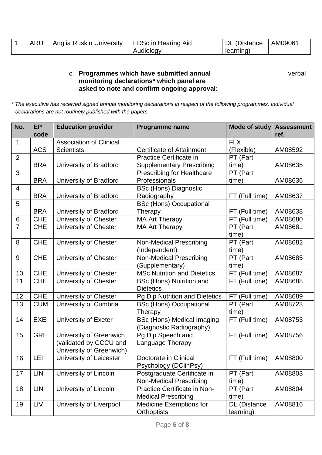| <b>ARU</b> | Anglia Ruskin University | FDSc in Hearing Aid | DL (Distance | AM0906 |
|------------|--------------------------|---------------------|--------------|--------|
|            |                          | Audiology           | learning)    |        |

## c. **Programmes which have submitted annual** verbal **monitoring declarations\* which panel are asked to note and confirm ongoing approval:**

*\* The executive has received signed annual monitoring declarations in respect of the following programmes. Individual declarations are not routinely published with the papers.*

| No.            | <b>EP</b>  | <b>Education provider</b>                           | Programme name                                                        | Mode of study          | <b>Assessment</b> |
|----------------|------------|-----------------------------------------------------|-----------------------------------------------------------------------|------------------------|-------------------|
|                | code       |                                                     |                                                                       |                        | ref.              |
| $\mathbf 1$    | <b>ACS</b> | <b>Association of Clinical</b><br><b>Scientists</b> | <b>Certificate of Attainment</b>                                      | <b>FLX</b>             | AM08592           |
| $\overline{2}$ |            |                                                     | Practice Certificate in                                               | (Flexible)<br>PT (Part |                   |
|                | <b>BRA</b> | University of Bradford                              |                                                                       | time)                  | AM08635           |
| 3              |            |                                                     | <b>Supplementary Prescribing</b><br><b>Prescribing for Healthcare</b> | PT (Part               |                   |
|                | <b>BRA</b> | University of Bradford                              | Professionals                                                         | time)                  | AM08636           |
| $\overline{4}$ |            |                                                     | <b>BSc (Hons) Diagnostic</b>                                          |                        |                   |
|                | <b>BRA</b> | University of Bradford                              | Radiography                                                           | FT (Full time)         | AM08637           |
| 5              |            |                                                     | <b>BSc (Hons) Occupational</b>                                        |                        |                   |
|                | <b>BRA</b> | University of Bradford                              | Therapy                                                               | FT (Full time)         | AM08638           |
| $\,6$          | <b>CHE</b> | University of Chester                               | <b>MA Art Therapy</b>                                                 | FT (Full time)         | AM08680           |
| $\overline{7}$ | <b>CHE</b> | University of Chester                               | <b>MA Art Therapy</b>                                                 | PT (Part               | AM08681           |
|                |            |                                                     |                                                                       | time)                  |                   |
| 8              | <b>CHE</b> | University of Chester                               | <b>Non-Medical Prescribing</b>                                        | PT (Part               | AM08682           |
|                |            |                                                     | (Independent)                                                         | time)                  |                   |
| 9              | <b>CHE</b> | University of Chester                               | <b>Non-Medical Prescribing</b>                                        | PT (Part               | AM08685           |
|                |            |                                                     | (Supplementary)                                                       | time)                  |                   |
| 10             | <b>CHE</b> | <b>University of Chester</b>                        | <b>MSc Nutrition and Dietetics</b>                                    | FT (Full time)         | AM08687           |
| 11             | <b>CHE</b> | University of Chester                               | <b>BSc (Hons) Nutrition and</b>                                       | FT (Full time)         | AM08688           |
|                |            |                                                     | <b>Dietetics</b>                                                      |                        |                   |
| 12             | <b>CHE</b> | <b>University of Chester</b>                        | Pg Dip Nutrition and Dietetics                                        | FT (Full time)         | AM08689           |
| 13             | <b>CUM</b> | University of Cumbria                               | <b>BSc (Hons) Occupational</b>                                        | PT (Part               | AM08723           |
|                |            |                                                     | Therapy                                                               | time)                  |                   |
| 14             | <b>EXE</b> | University of Exeter                                | <b>BSc (Hons) Medical Imaging</b>                                     | FT (Full time)         | AM08753           |
|                |            |                                                     | (Diagnostic Radiography)                                              |                        |                   |
| 15             | <b>GRE</b> | University of Greenwich                             | Pg Dip Speech and                                                     | FT (Full time)         | AM08756           |
|                |            | (validated by CCCU and                              | Language Therapy                                                      |                        |                   |
|                |            | University of Greenwich)                            |                                                                       |                        |                   |
| 16             | LEI        | University of Leicester                             | Doctorate in Clinical                                                 | FT (Full time)         | AM08800           |
|                |            |                                                     | Psychology (DClinPsy)                                                 |                        |                   |
| 17             | <b>LIN</b> | University of Lincoln                               | Postgraduate Certificate in                                           | PT (Part               | AM08803           |
|                |            |                                                     | <b>Non-Medical Prescribing</b>                                        | time)                  |                   |
| 18             | <b>LIN</b> | University of Lincoln                               | Practice Certificate in Non-                                          | PT (Part               | AM08804           |
|                |            |                                                     | <b>Medical Prescribing</b>                                            | time)                  |                   |
| 19             | LIV        | University of Liverpool                             | <b>Medicine Exemptions for</b>                                        | DL (Distance           | AM08816           |
|                |            |                                                     | Orthoptists                                                           | learning)              |                   |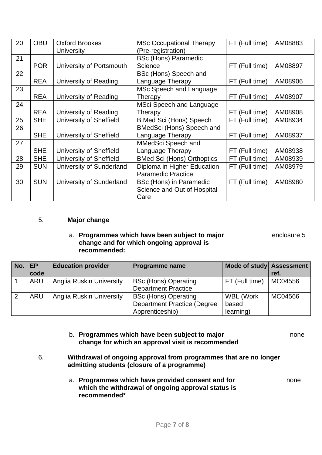| 20 | <b>OBU</b> | <b>Oxford Brookes</b>    | <b>MSc Occupational Therapy</b>   | FT (Full time)     | AM08883 |
|----|------------|--------------------------|-----------------------------------|--------------------|---------|
|    |            | <b>University</b>        | (Pre-registration)                |                    |         |
| 21 |            |                          | <b>BSc (Hons) Paramedic</b>       |                    |         |
|    | <b>POR</b> | University of Portsmouth | Science                           | FT (Full time)     | AM08897 |
| 22 |            |                          | BSc (Hons) Speech and             |                    |         |
|    | <b>REA</b> | University of Reading    | Language Therapy                  | FT (Full time)     | AM08906 |
| 23 |            |                          | MSc Speech and Language           |                    |         |
|    | <b>REA</b> | University of Reading    | Therapy                           | FT (Full time)     | AM08907 |
| 24 |            |                          | MSci Speech and Language          |                    |         |
|    | <b>REA</b> | University of Reading    | Therapy                           | (Full time)<br>FT. | AM08908 |
| 25 | <b>SHE</b> | University of Sheffield  | <b>B.Med Sci (Hons) Speech</b>    | FT (Full time)     | AM08934 |
| 26 |            |                          | BMedSci (Hons) Speech and         |                    |         |
|    | <b>SHE</b> | University of Sheffield  | Language Therapy                  | FT (Full time)     | AM08937 |
| 27 |            |                          | MMedSci Speech and                |                    |         |
|    | <b>SHE</b> | University of Sheffield  | Language Therapy                  | FT (Full time)     | AM08938 |
| 28 | <b>SHE</b> | University of Sheffield  | <b>BMed Sci (Hons) Orthoptics</b> | FT (Full time)     | AM08939 |
| 29 | <b>SUN</b> | University of Sunderland | Diploma in Higher Education       | FT (Full time)     | AM08979 |
|    |            |                          | <b>Paramedic Practice</b>         |                    |         |
| 30 | <b>SUN</b> | University of Sunderland | BSc (Hons) in Paramedic           | FT (Full time)     | AM08980 |
|    |            |                          | Science and Out of Hospital       |                    |         |
|    |            |                          | Care                              |                    |         |

#### 5. **Major change**

#### a. **Programmes which have been subject to major** enclosure 5 **change and for which ongoing approval is recommended:**

| $No.$ EP | code       | <b>Education provider</b>       | Programme name                                                                       | Mode of study Assessment               | ref.    |
|----------|------------|---------------------------------|--------------------------------------------------------------------------------------|----------------------------------------|---------|
|          | <b>ARU</b> | <b>Anglia Ruskin University</b> | <b>BSc (Hons) Operating</b><br><b>Department Practice</b>                            | FT (Full time)                         | MC04556 |
| 2        | ARU        | <b>Anglia Ruskin University</b> | <b>BSc (Hons) Operating</b><br><b>Department Practice (Degree</b><br>Apprenticeship) | <b>WBL (Work</b><br>based<br>learning) | MC04566 |

# b. **Programmes which have been subject to major** none **change for which an approval visit is recommended**

- 6. **Withdrawal of ongoing approval from programmes that are no longer admitting students (closure of a programme)** 
	- a. **Programmes which have provided consent and for** none **which the withdrawal of ongoing approval status is recommended\***